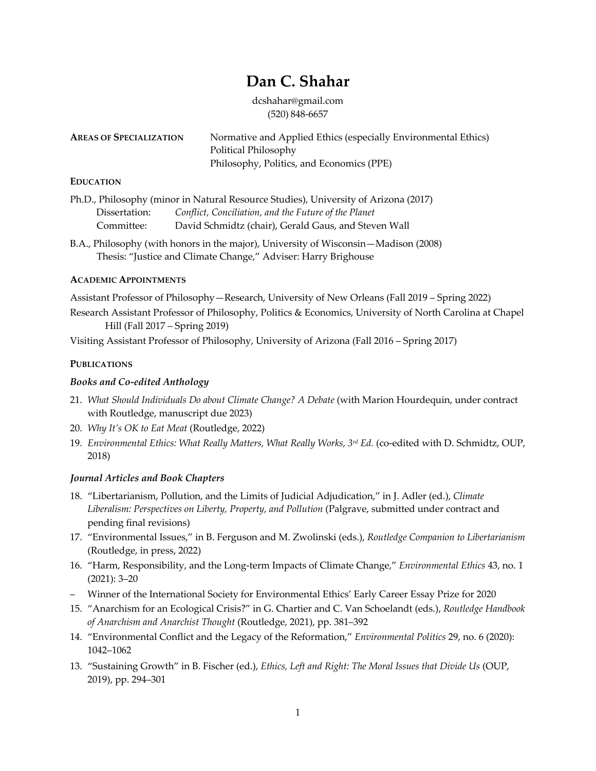# **Dan C. Shahar**

dcshahar@gmail.com (520) 848-6657

| <b>AREAS OF SPECIALIZATION</b> | Normative and Applied Ethics (especially Environmental Ethics) |
|--------------------------------|----------------------------------------------------------------|
|                                | Political Philosophy                                           |
|                                | Philosophy, Politics, and Economics (PPE)                      |

## **EDUCATION**

Ph.D., Philosophy (minor in Natural Resource Studies), University of Arizona (2017) Dissertation: *Conflict, Conciliation, and the Future of the Planet* Committee: David Schmidtz (chair), Gerald Gaus, and Steven Wall

B.A., Philosophy (with honors in the major), University of Wisconsin—Madison (2008) Thesis: "Justice and Climate Change," Adviser: Harry Brighouse

## **ACADEMIC APPOINTMENTS**

Assistant Professor of Philosophy—Research, University of New Orleans (Fall 2019 – Spring 2022)

Research Assistant Professor of Philosophy, Politics & Economics, University of North Carolina at Chapel Hill (Fall 2017 – Spring 2019)

Visiting Assistant Professor of Philosophy, University of Arizona (Fall 2016 – Spring 2017)

# **PUBLICATIONS**

# *Books and Co-edited Anthology*

- 21. *What Should Individuals Do about Climate Change? A Debate* (with Marion Hourdequin, under contract with Routledge, manuscript due 2023)
- 20. *Why It's OK to Eat Meat* (Routledge, 2022)
- 19. *Environmental Ethics: What Really Matters, What Really Works, 3rd Ed.* (co-edited with D. Schmidtz, OUP, 2018)

## *Journal Articles and Book Chapters*

- 18. "Libertarianism, Pollution, and the Limits of Judicial Adjudication," in J. Adler (ed.), *Climate Liberalism: Perspectives on Liberty, Property, and Pollution* (Palgrave, submitted under contract and pending final revisions)
- 17. "Environmental Issues," in B. Ferguson and M. Zwolinski (eds.), *Routledge Companion to Libertarianism* (Routledge, in press, 2022)
- 16. "Harm, Responsibility, and the Long-term Impacts of Climate Change," *Environmental Ethics* 43, no. 1 (2021): 3–20
- Winner of the International Society for Environmental Ethics' Early Career Essay Prize for 2020
- 15. "Anarchism for an Ecological Crisis?" in G. Chartier and C. Van Schoelandt (eds.), *Routledge Handbook of Anarchism and Anarchist Thought* (Routledge, 2021), pp. 381–392
- 14. "Environmental Conflict and the Legacy of the Reformation," *Environmental Politics* 29, no. 6 (2020): 1042–1062
- 13. "Sustaining Growth" in B. Fischer (ed.), *Ethics, Left and Right: The Moral Issues that Divide Us* (OUP, 2019), pp. 294–301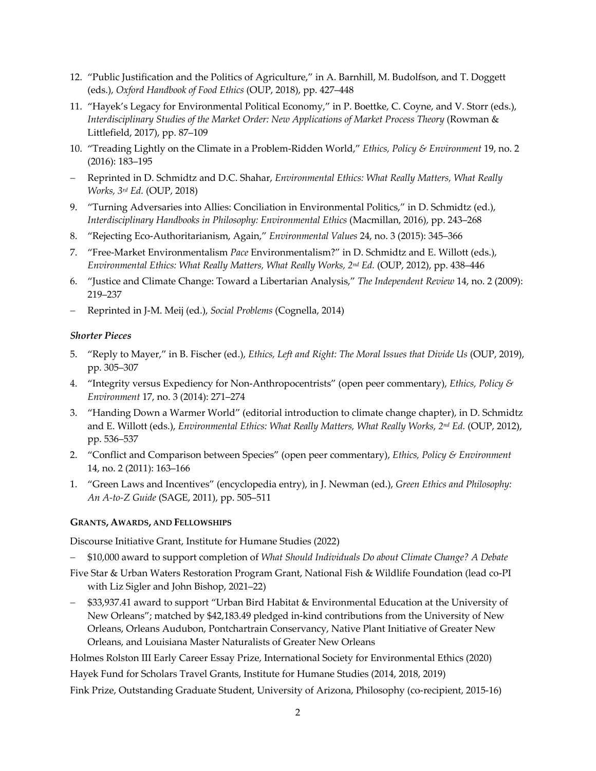- 12. "Public Justification and the Politics of Agriculture," in A. Barnhill, M. Budolfson, and T. Doggett (eds.), *Oxford Handbook of Food Ethics* (OUP, 2018), pp. 427–448
- 11. "Hayek's Legacy for Environmental Political Economy," in P. Boettke, C. Coyne, and V. Storr (eds.), *Interdisciplinary Studies of the Market Order: New Applications of Market Process Theory* (Rowman & Littlefield, 2017), pp. 87–109
- 10. "Treading Lightly on the Climate in a Problem-Ridden World," *Ethics, Policy & Environment* 19, no. 2 (2016): 183–195
- Reprinted in D. Schmidtz and D.C. Shahar, *Environmental Ethics: What Really Matters, What Really Works, 3rd Ed.* (OUP, 2018)
- 9. "Turning Adversaries into Allies: Conciliation in Environmental Politics," in D. Schmidtz (ed.), *Interdisciplinary Handbooks in Philosophy: Environmental Ethics* (Macmillan, 2016), pp. 243–268
- 8. "Rejecting Eco-Authoritarianism, Again," *Environmental Values* 24, no. 3 (2015): 345–366
- 7. "Free-Market Environmentalism *Pace* Environmentalism?" in D. Schmidtz and E. Willott (eds.), *Environmental Ethics: What Really Matters, What Really Works, 2nd Ed.* (OUP, 2012), pp. 438–446
- 6. "Justice and Climate Change: Toward a Libertarian Analysis," *The Independent Review* 14, no. 2 (2009): 219–237
- Reprinted in J-M. Meij (ed.), *Social Problems* (Cognella, 2014)

## *Shorter Pieces*

- 5. "Reply to Mayer," in B. Fischer (ed.), *Ethics, Left and Right: The Moral Issues that Divide Us* (OUP, 2019), pp. 305–307
- 4. "Integrity versus Expediency for Non-Anthropocentrists" (open peer commentary), *Ethics, Policy & Environment* 17, no. 3 (2014): 271–274
- 3. "Handing Down a Warmer World" (editorial introduction to climate change chapter), in D. Schmidtz and E. Willott (eds.), *Environmental Ethics: What Really Matters, What Really Works, 2<sup>nd</sup> Ed.* (OUP, 2012), pp. 536–537
- 2. "Conflict and Comparison between Species" (open peer commentary), *Ethics, Policy & Environment* 14, no. 2 (2011): 163–166
- 1. "Green Laws and Incentives" (encyclopedia entry), in J. Newman (ed.), *Green Ethics and Philosophy: An A-to-Z Guide* (SAGE, 2011), pp. 505–511

## **GRANTS, AWARDS, AND FELLOWSHIPS**

Discourse Initiative Grant, Institute for Humane Studies (2022)

- \$10,000 award to support completion of *What Should Individuals Do about Climate Change? A Debate*
- Five Star & Urban Waters Restoration Program Grant, National Fish & Wildlife Foundation (lead co-PI with Liz Sigler and John Bishop, 2021–22)
- \$33,937.41 award to support "Urban Bird Habitat & Environmental Education at the University of New Orleans"; matched by \$42,183.49 pledged in-kind contributions from the University of New Orleans, Orleans Audubon, Pontchartrain Conservancy, Native Plant Initiative of Greater New Orleans, and Louisiana Master Naturalists of Greater New Orleans

Holmes Rolston III Early Career Essay Prize, International Society for Environmental Ethics (2020) Hayek Fund for Scholars Travel Grants, Institute for Humane Studies (2014, 2018, 2019)

Fink Prize, Outstanding Graduate Student, University of Arizona, Philosophy (co-recipient, 2015-16)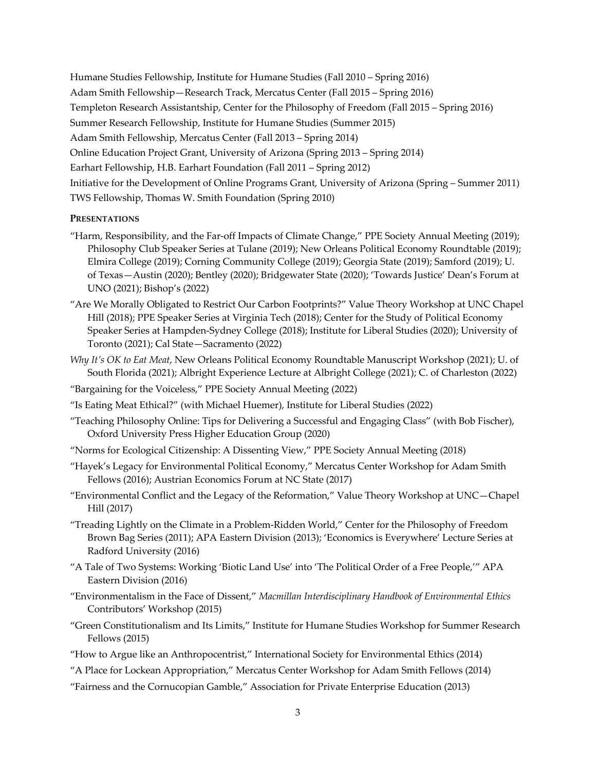Humane Studies Fellowship, Institute for Humane Studies (Fall 2010 – Spring 2016) Adam Smith Fellowship—Research Track, Mercatus Center (Fall 2015 – Spring 2016) Templeton Research Assistantship, Center for the Philosophy of Freedom (Fall 2015 – Spring 2016) Summer Research Fellowship, Institute for Humane Studies (Summer 2015) Adam Smith Fellowship, Mercatus Center (Fall 2013 – Spring 2014) Online Education Project Grant, University of Arizona (Spring 2013 – Spring 2014) Earhart Fellowship, H.B. Earhart Foundation (Fall 2011 – Spring 2012) Initiative for the Development of Online Programs Grant, University of Arizona (Spring – Summer 2011) TWS Fellowship, Thomas W. Smith Foundation (Spring 2010)

### **PRESENTATIONS**

- "Harm, Responsibility, and the Far-off Impacts of Climate Change," PPE Society Annual Meeting (2019); Philosophy Club Speaker Series at Tulane (2019); New Orleans Political Economy Roundtable (2019); Elmira College (2019); Corning Community College (2019); Georgia State (2019); Samford (2019); U. of Texas—Austin (2020); Bentley (2020); Bridgewater State (2020); 'Towards Justice' Dean's Forum at UNO (2021); Bishop's (2022)
- "Are We Morally Obligated to Restrict Our Carbon Footprints?" Value Theory Workshop at UNC Chapel Hill (2018); PPE Speaker Series at Virginia Tech (2018); Center for the Study of Political Economy Speaker Series at Hampden-Sydney College (2018); Institute for Liberal Studies (2020); University of Toronto (2021); Cal State—Sacramento (2022)
- *Why It's OK to Eat Meat*, New Orleans Political Economy Roundtable Manuscript Workshop (2021); U. of South Florida (2021); Albright Experience Lecture at Albright College (2021); C. of Charleston (2022)
- "Bargaining for the Voiceless," PPE Society Annual Meeting (2022)
- "Is Eating Meat Ethical?" (with Michael Huemer), Institute for Liberal Studies (2022)
- "Teaching Philosophy Online: Tips for Delivering a Successful and Engaging Class" (with Bob Fischer), Oxford University Press Higher Education Group (2020)
- "Norms for Ecological Citizenship: A Dissenting View," PPE Society Annual Meeting (2018)
- "Hayek's Legacy for Environmental Political Economy," Mercatus Center Workshop for Adam Smith Fellows (2016); Austrian Economics Forum at NC State (2017)
- "Environmental Conflict and the Legacy of the Reformation," Value Theory Workshop at UNC—Chapel Hill (2017)
- "Treading Lightly on the Climate in a Problem-Ridden World," Center for the Philosophy of Freedom Brown Bag Series (2011); APA Eastern Division (2013); 'Economics is Everywhere' Lecture Series at Radford University (2016)
- "A Tale of Two Systems: Working 'Biotic Land Use' into 'The Political Order of a Free People,'" APA Eastern Division (2016)
- "Environmentalism in the Face of Dissent," *Macmillan Interdisciplinary Handbook of Environmental Ethics* Contributors' Workshop (2015)
- "Green Constitutionalism and Its Limits," Institute for Humane Studies Workshop for Summer Research Fellows (2015)
- "How to Argue like an Anthropocentrist," International Society for Environmental Ethics (2014)
- "A Place for Lockean Appropriation," Mercatus Center Workshop for Adam Smith Fellows (2014)
- "Fairness and the Cornucopian Gamble," Association for Private Enterprise Education (2013)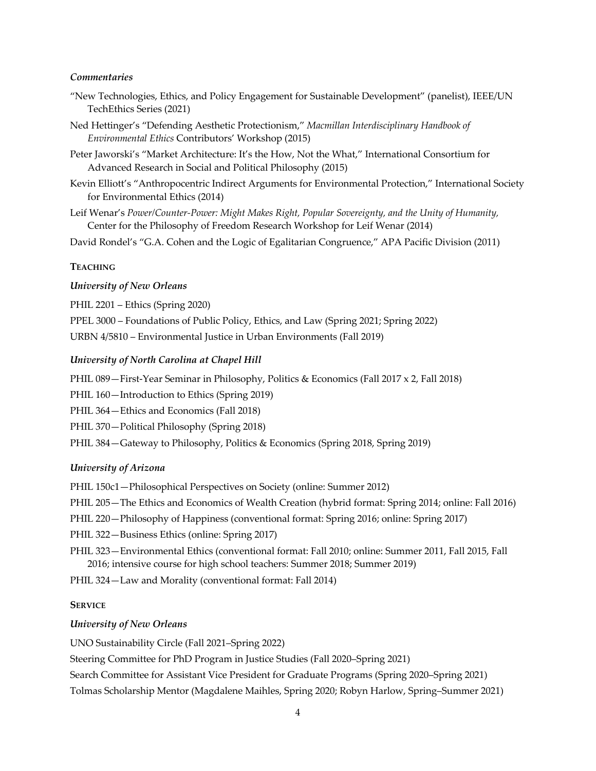#### *Commentaries*

- "New Technologies, Ethics, and Policy Engagement for Sustainable Development" (panelist), IEEE/UN TechEthics Series (2021)
- Ned Hettinger's "Defending Aesthetic Protectionism," *Macmillan Interdisciplinary Handbook of Environmental Ethics* Contributors' Workshop (2015)
- Peter Jaworski's "Market Architecture: It's the How, Not the What," International Consortium for Advanced Research in Social and Political Philosophy (2015)
- Kevin Elliott's "Anthropocentric Indirect Arguments for Environmental Protection," International Society for Environmental Ethics (2014)
- Leif Wenar's *Power/Counter-Power: Might Makes Right, Popular Sovereignty, and the Unity of Humanity,* Center for the Philosophy of Freedom Research Workshop for Leif Wenar (2014)

David Rondel's "G.A. Cohen and the Logic of Egalitarian Congruence," APA Pacific Division (2011)

#### **TEACHING**

#### *University of New Orleans*

PHIL 2201 – Ethics (Spring 2020)

PPEL 3000 – Foundations of Public Policy, Ethics, and Law (Spring 2021; Spring 2022)

URBN 4/5810 – Environmental Justice in Urban Environments (Fall 2019)

#### *University of North Carolina at Chapel Hill*

PHIL 089—First-Year Seminar in Philosophy, Politics & Economics (Fall 2017 x 2, Fall 2018)

PHIL 160—Introduction to Ethics (Spring 2019)

PHIL 364—Ethics and Economics (Fall 2018)

PHIL 370—Political Philosophy (Spring 2018)

PHIL 384—Gateway to Philosophy, Politics & Economics (Spring 2018, Spring 2019)

#### *University of Arizona*

PHIL 150c1—Philosophical Perspectives on Society (online: Summer 2012)

PHIL 205—The Ethics and Economics of Wealth Creation (hybrid format: Spring 2014; online: Fall 2016)

PHIL 220—Philosophy of Happiness (conventional format: Spring 2016; online: Spring 2017)

PHIL 322—Business Ethics (online: Spring 2017)

PHIL 323—Environmental Ethics (conventional format: Fall 2010; online: Summer 2011, Fall 2015, Fall 2016; intensive course for high school teachers: Summer 2018; Summer 2019)

PHIL 324—Law and Morality (conventional format: Fall 2014)

#### **SERVICE**

#### *University of New Orleans*

UNO Sustainability Circle (Fall 2021–Spring 2022)

Steering Committee for PhD Program in Justice Studies (Fall 2020–Spring 2021)

Search Committee for Assistant Vice President for Graduate Programs (Spring 2020–Spring 2021)

Tolmas Scholarship Mentor (Magdalene Maihles, Spring 2020; Robyn Harlow, Spring–Summer 2021)